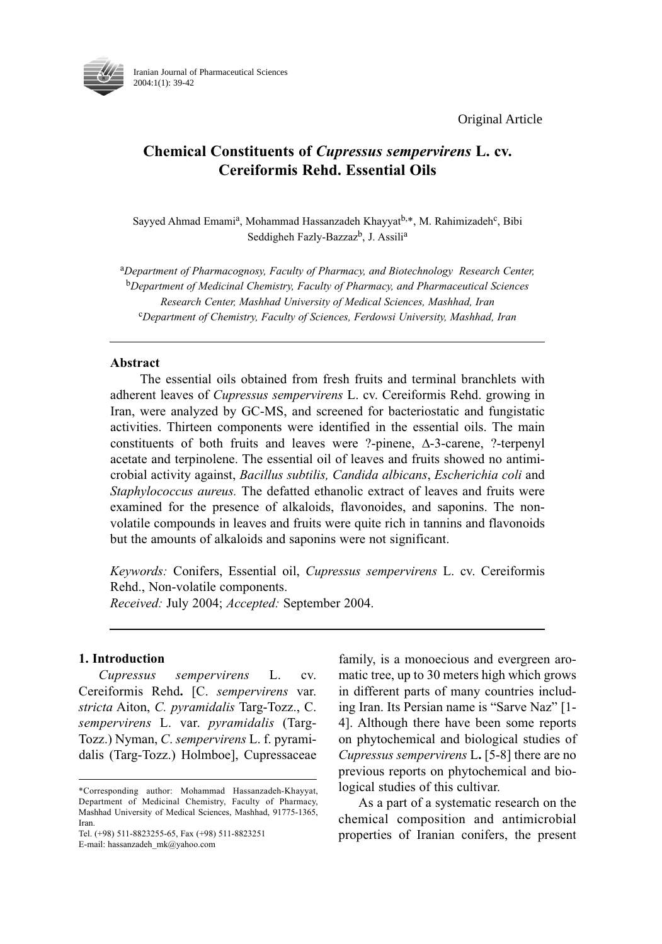Original Article



Iranian Journal of Pharmaceutical Sciences 2004:1(1): 39-42

# Chemical Constituents of Cupressus sempervirens L. cv. Cereiformis Rehd. Essential Oils

Sayyed Ahmad Emami<sup>a</sup>, Mohammad Hassanzadeh Khayyat<sup>b,\*</sup>, M. Rahimizadeh<sup>c</sup>, Bibi Seddigheh Fazly-Bazzaz<sup>b</sup>, J. Assili<sup>a</sup>

aDepartment of Pharmacognosy, Faculty of Pharmacy, and Biotechnology Research Center,  $b$ Department of Medicinal Chemistry, Faculty of Pharmacy, and Pharmaceutical Sciences Research Center, Mashhad University of Medical Sciences, Mashhad, Iran <sup>c</sup>Department of Chemistry, Faculty of Sciences, Ferdowsi University, Mashhad, Iran

### Abstract

The essential oils obtained from fresh fruits and terminal branchlets with adherent leaves of Cupressus sempervirens L. cv. Cereiformis Rehd. growing in Iran, were analyzed by GC-MS, and screened for bacteriostatic and fungistatic activities. Thirteen components were identified in the essential oils. The main constituents of both fruits and leaves were ?-pinene, ∆-3-carene, ?-terpenyl acetate and terpinolene. The essential oil of leaves and fruits showed no antimicrobial activity against, Bacillus subtilis, Candida albicans, Escherichia coli and Staphylococcus aureus. The defatted ethanolic extract of leaves and fruits were examined for the presence of alkaloids, flavonoides, and saponins. The nonvolatile compounds in leaves and fruits were quite rich in tannins and flavonoids but the amounts of alkaloids and saponins were not significant.

Keywords: Conifers, Essential oil, Cupressus sempervirens L. cv. Cereiformis Rehd., Non-volatile components.

Received: July 2004; Accepted: September 2004.

### 1. Introduction

Cupressus sempervirens L. cv. Cereiformis Rehd. [C. sempervirens var. stricta Aiton, C. pyramidalis Targ-Tozz., C. sempervirens L. var. pyramidalis (Targ-Tozz.) Nyman, C. sempervirens L. f. pyramidalis (Targ-Tozz.) Holmboe], Cupressaceae

Tel. (+98) 511-8823255-65, Fax (+98) 511-8823251 E-mail: hassanzadeh\_mk@yahoo.com

family, is a monoecious and evergreen aromatic tree, up to 30 meters high which grows in different parts of many countries including Iran. Its Persian name is "Sarve Naz" [1- 4]. Although there have been some reports on phytochemical and biological studies of Cupressus sempervirens L. [5-8] there are no previous reports on phytochemical and biological studies of this cultivar.

As a part of a systematic research on the chemical composition and antimicrobial properties of Iranian conifers, the present

<sup>\*</sup>Corresponding author: Mohammad Hassanzadeh-Khayyat, Department of Medicinal Chemistry, Faculty of Pharmacy, Mashhad University of Medical Sciences, Mashhad, 91775-1365, Iran.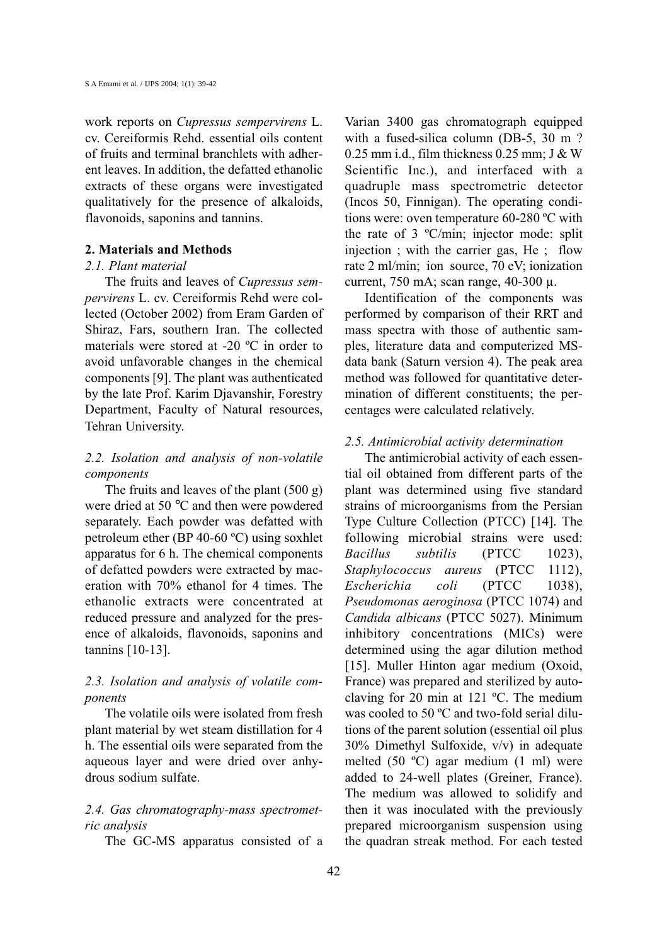work reports on Cupressus sempervirens L. cv. Cereiformis Rehd. essential oils content of fruits and terminal branchlets with adherent leaves. In addition, the defatted ethanolic extracts of these organs were investigated qualitatively for the presence of alkaloids, flavonoids, saponins and tannins.

#### 2. Materials and Methods

#### 2.1. Plant material

The fruits and leaves of Cupressus sempervirens L. cv. Cereiformis Rehd were collected (October 2002) from Eram Garden of Shiraz, Fars, southern Iran. The collected materials were stored at -20 ºC in order to avoid unfavorable changes in the chemical components [9]. The plant was authenticated by the late Prof. Karim Djavanshir, Forestry Department, Faculty of Natural resources, Tehran University.

# 2.2. Isolation and analysis of non-volatile components

The fruits and leaves of the plant (500 g) were dried at 50 °C and then were powdered separately. Each powder was defatted with petroleum ether (BP 40-60 ºC) using soxhlet apparatus for 6 h. The chemical components of defatted powders were extracted by maceration with 70% ethanol for 4 times. The ethanolic extracts were concentrated at reduced pressure and analyzed for the presence of alkaloids, flavonoids, saponins and tannins [10-13].

# 2.3. Isolation and analysis of volatile components

The volatile oils were isolated from fresh plant material by wet steam distillation for 4 h. The essential oils were separated from the aqueous layer and were dried over anhydrous sodium sulfate.

# 2.4. Gas chromatography-mass spectrometric analysis

The GC-MS apparatus consisted of a

Varian 3400 gas chromatograph equipped with a fused-silica column (DB-5, 30 m ?  $0.25$  mm i.d., film thickness  $0.25$  mm; J & W Scientific Inc.), and interfaced with a quadruple mass spectrometric detector (Incos 50, Finnigan). The operating conditions were: oven temperature 60-280 ºC with the rate of 3 ºC/min; injector mode: split injection ; with the carrier gas, He ; flow rate 2 ml/min; ion source, 70 eV; ionization current, 750 mA; scan range, 40-300 µ.

Identification of the components was performed by comparison of their RRT and mass spectra with those of authentic samples, literature data and computerized MSdata bank (Saturn version 4). The peak area method was followed for quantitative determination of different constituents; the percentages were calculated relatively.

# 2.5. Antimicrobial activity determination

The antimicrobial activity of each essential oil obtained from different parts of the plant was determined using five standard strains of microorganisms from the Persian Type Culture Collection (PTCC) [14]. The following microbial strains were used: Bacillus subtilis (PTCC 1023), Staphylococcus aureus (PTCC 1112), Escherichia coli (PTCC 1038), Pseudomonas aeroginosa (PTCC 1074) and Candida albicans (PTCC 5027). Minimum inhibitory concentrations (MICs) were determined using the agar dilution method [15]. Muller Hinton agar medium (Oxoid, France) was prepared and sterilized by autoclaving for 20 min at 121 ºC. The medium was cooled to 50 °C and two-fold serial dilutions of the parent solution (essential oil plus 30% Dimethyl Sulfoxide, v/v) in adequate melted (50 ºC) agar medium (1 ml) were added to 24-well plates (Greiner, France). The medium was allowed to solidify and then it was inoculated with the previously prepared microorganism suspension using the quadran streak method. For each tested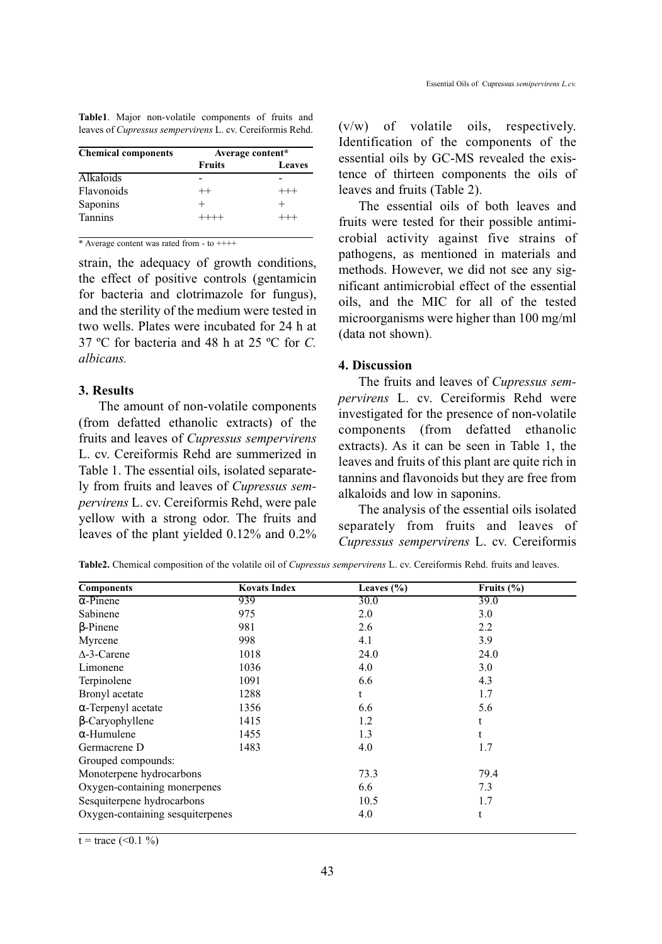|  | Table1. Major non-volatile components of fruits and              |  |  |
|--|------------------------------------------------------------------|--|--|
|  | leaves of <i>Cupressus sempervirens</i> L. cv. Cereiformis Rehd. |  |  |

| <b>Chemical components</b> | Average content* |          |  |
|----------------------------|------------------|----------|--|
|                            | <b>Fruits</b>    | Leaves   |  |
| <b>Alkaloids</b>           |                  |          |  |
| Flavonoids                 | $++$             | $^{+++}$ |  |
| Saponins                   |                  |          |  |
| <b>Tannins</b>             | $++++-$          | $^{+++}$ |  |

\* Average content was rated from  $-$  to  $++++$ 

strain, the adequacy of growth conditions, the effect of positive controls (gentamicin for bacteria and clotrimazole for fungus), and the sterility of the medium were tested in two wells. Plates were incubated for 24 h at 37 ºC for bacteria and 48 h at 25 ºC for C. albicans.

#### 3. Results

The amount of non-volatile components (from defatted ethanolic extracts) of the fruits and leaves of Cupressus sempervirens L. cv. Cereiformis Rehd are summerized in Table 1. The essential oils, isolated separately from fruits and leaves of Cupressus sempervirens L. cv. Cereiformis Rehd, were pale yellow with a strong odor. The fruits and leaves of the plant yielded 0.12% and 0.2% (v/w) of volatile oils, respectively. Identification of the components of the essential oils by GC-MS revealed the existence of thirteen components the oils of leaves and fruits (Table 2).

The essential oils of both leaves and fruits were tested for their possible antimicrobial activity against five strains of pathogens, as mentioned in materials and methods. However, we did not see any significant antimicrobial effect of the essential oils, and the MIC for all of the tested microorganisms were higher than 100 mg/ml (data not shown).

### 4. Discussion

The fruits and leaves of Cupressus sempervirens L. cv. Cereiformis Rehd were investigated for the presence of non-volatile components (from defatted ethanolic extracts). As it can be seen in Table 1, the leaves and fruits of this plant are quite rich in tannins and flavonoids but they are free from alkaloids and low in saponins.

The analysis of the essential oils isolated separately from fruits and leaves of Cupressus sempervirens L. cv. Cereiformis

Table2. Chemical composition of the volatile oil of Cupressus sempervirens L. cv. Cereiformis Rehd. fruits and leaves.

| <b>Components</b>                | <b>Kovats Index</b> | Leaves $(\% )$ | Fruits $(\% )$ |
|----------------------------------|---------------------|----------------|----------------|
| $\alpha$ -Pinene                 | 939                 | <b>30.0</b>    | 39.0           |
| Sabinene                         | 975                 | 2.0            | 3.0            |
| $\beta$ -Pinene                  | 981                 | 2.6            | 2.2            |
| Myrcene                          | 998                 | 4.1            | 3.9            |
| $\Delta$ -3-Carene               | 1018                | 24.0           | 24.0           |
| Limonene                         | 1036                | 4.0            | 3.0            |
| Terpinolene                      | 1091                | 6.6            | 4.3            |
| Bronyl acetate                   | 1288                | t              | 1.7            |
| $\alpha$ -Terpenyl acetate       | 1356                | 6.6            | 5.6            |
| $\beta$ -Caryophyllene           | 1415                | 1.2            | t              |
| $\alpha$ -Humulene               | 1455                | 1.3            | t              |
| Germacrene D                     | 1483                | 4.0            | 1.7            |
| Grouped compounds:               |                     |                |                |
| Monoterpene hydrocarbons         |                     | 73.3           | 79.4           |
| Oxygen-containing monerpenes     |                     | 6.6            | 7.3            |
| Sesquiterpene hydrocarbons       |                     | 10.5           | 1.7            |
| Oxygen-containing sesquiterpenes |                     | 4.0            | t              |

 $t = \text{trace } (\le 0.1 \%)$